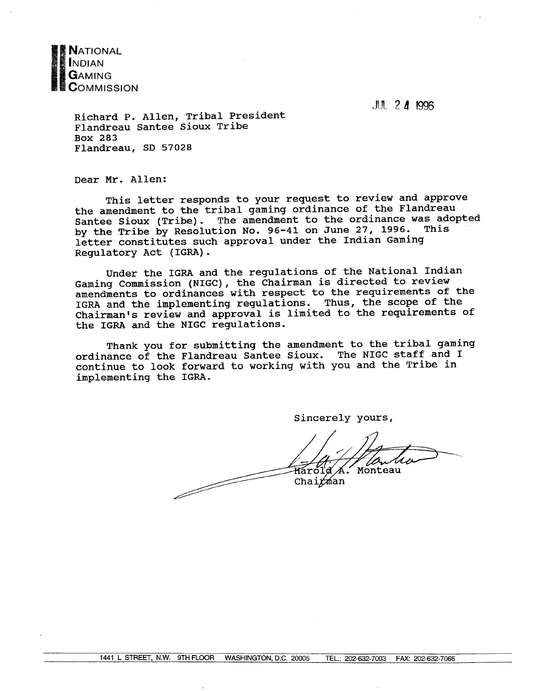**NATIONAL** NDIAN GAMING  ${\sf C}$ OMMISSION

**JUL 2 4 1996** 

Richard P. Allen, Tribal President Flandreau Santee Sioux Tribe Box 283 Flandreau, SD 57028

Dear Mr. Allen:

This letter responds to your request to review and approve the amendment to the tribal gaming ordinance of the Flandreau Santee Sioux (Tribe). The amendment to the ordinance was adopted by the Tribe by Resolution No. 96-41 on June 27, 1996. This letter constitutes such approval under the Indian Gaming Regulatory Act (IGRA).

Under the IGRA and the regulations of the National Indian Gaming Commission (NIGC), the Chairman is directed to review amendments to ordinances with respect to the requirements of the IGRA and the implementing regulations. Thus, the scope of the Chairman's review and approval is limited to the requirements of the IGRA and the NIGC regulations.

Thank you for submitting the amendment to the tribal gaming ordinance of the Flandreau Santee Sioux. The NIGC staff and I continue to look forward to working with you and the Tribe in implementing the IGRA.

Sincerely yours,

Monteau Hárold <u>f</u> de la década de la década de la década de la década de la década de la década de la década de la década de la década de la década de la década de la década de la década de la década de la década de la década de la déca Chairman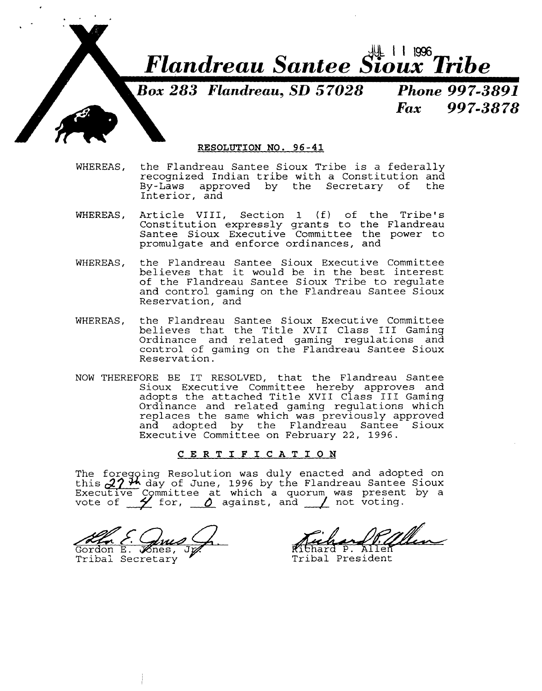

#### **RESOLUTION NO. 96-41**

- WHEREAS, the Flandreau Santee Sioux Tribe is a federally recognized Indian tribe with a Constitution and approved by the Secretary of the Interior, and
- WHEREAS, Article VIII, Section  $1$  (f) of the Tribe's Constitution expressly grants to the Flandreau Santee Sioux Executive Committee the power to promulgate and enforce ordinances, and
- WHEREAS, the Flandreau Santee Sioux Executive Committee believes that it would be in the best interest of the Flandreau Santee Sioux Tribe to regulate and control gaming on the Flandreau Santee Sioux Reservation, and
- WHEREAS, the Flandreau Santee Sioux Executive Committee believes that the Title XVII Class I11 Gaming Ordinance and related gaming regulations and control of gaming on the Flandreau Santee Sioux Reservation.
- NOW THEREFORE BE IT RESOLVED, that the Flandreau Santee Sioux Executive Committee hereby approves and adopts the attached Title XVII Class I11 Gaming Ordinance and related gaming regulations which replaces the same which was previously approved and adopted by the Flandreau Santee Sioux Executive Committee on February 22, 1996.

#### **CERTIFICATION**

The foregoing Resolution was duly enacted and adopted on this **d.? <sup>34</sup>** day of June, 1996 by the Flandreau Santee Sioux Executive Committee at which a quorum was present by a<br>Executive Committee at which a quorum was present by a<br>vote of  $\searrow$  for, <u>0</u> against, and  $\searrow$  not voting.

XV. E. Ques Q. Richard P. Allen<br>Gordon E. Xnes, J. Richard P. Allen<br>Tribal Secretary "Tribal President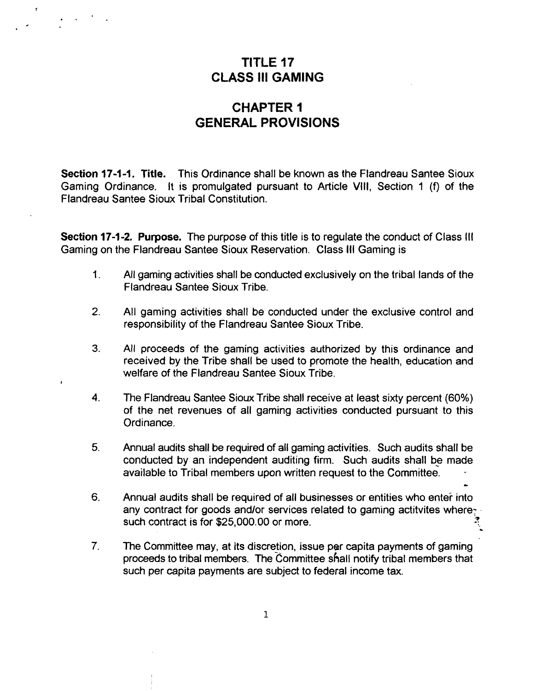# **TITLE 17 CLASS Ill GAMING**

### **CHAPTER I GENERAL PROVISIONS**

**Section 17-1-1. Title.** This Ordinance shall be known as the Flandreau Santee Sioux Gaming Ordinance. It is promulgated pursuant to Article VIII, Section 1 (f) of the Flandreau Santee Sioux Tribal Constitution.

**Section 17-1-2. Purpose.** The purpose of this title is to regulate the conduct of Class Ill Gaming on the Flandreau Santee Sioux Reservation. Class Ill Gaming is

- 1. All gaming activities shall be conducted exclusively on the tribal lands of the Flandreau Santee Sioux Tribe.
- **2.** All gaming activities shall be conducted under the exclusive control and responsibility of the Flandreau Santee Sioux Tribe.
- **3.** All proceeds of the gaming activities authorized by this ordinance and received by the Tribe shall be used to promote the health, education and welfare of the Flandreau Santee Sioux Tribe.
- **4.** The Flandreau Santee Sioux Tribe shall receive at least sixty percent (60%) of the net revenues of all gaming activities conducted pursuant to this Ordinance.
- **5.** Annual audits shall be required of all gaming activities. Such audits shall be conducted by an independent auditing firm. Such audits shall be made available to Tribal members upon written request to the committee. \*
- 6. Annual audits shall be required of all businesses or entities who enter into any contract for goods and/or services related to gaming actitvites where? such contract is for \$25,000.00 or more. **3 a.**  .
- **7.** The Committee may, at its discretion, issue per capita payments of gaming proceeds to tribal members. The Committee shall notify tribal members that such per capita payments are subject to federal income tax.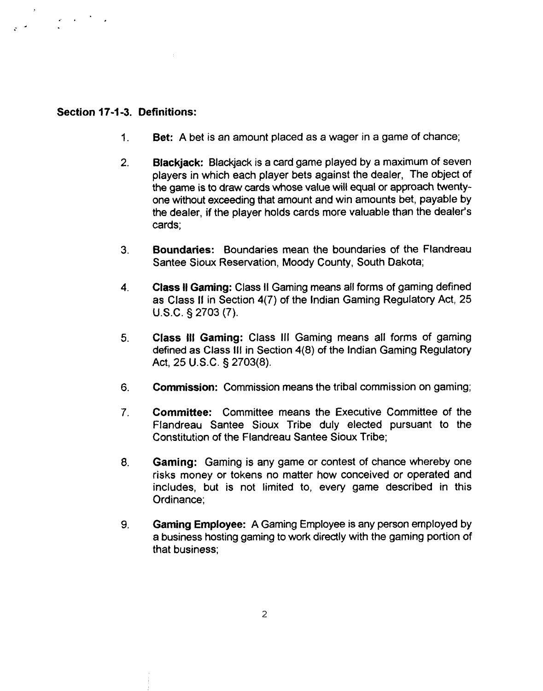#### **Section 17-1 -3. Definitions:**

 $\mathbf{z} = \mathbf{z} \in \mathbb{R}^{N}$ 

- **1. Bet:** A bet is an amount placed as a wager in a game of chance;
- 2. **Blackjack:** Blackjack is a card game played by a maximum of seven players in which each player bets against the dealer, The object of the game is to draw cards whose value will equal or approach twentyone without exceeding that amount and win amounts bet, payable by the dealer, if the player holds cards more valuable than the dealer's cards;
- **3. Boundaries:** Boundaries mean the boundaries of the Flandreau Santee Sioux Reservation, Moody County, South Dakota;
- 4. **Class I1 Gaming:** Class II Gaming means all forms of gaming defined as Class II in Section 4(7) of the Indian Gaming Regulatory Act, 25 U.S.C. § 2703 (7).
- 5. **Class Ill Gaming:** Class Ill Gaming means all forms of gaming defined as Class Ill in Section **4(8)** of the Indian Gaming Regulatory Act, 25 U.S.C. § 2703(8).
- **6. Commission:** Commission means the tribal commission on gaming;
- 7. **Committee:** Committee means the Executive Committee of the Flandreau Santee Sioux Tribe duly elected pursuant to the Constitution of the Flandreau Santee Sioux Tribe;
- 8. **Gaming:** Gaming is any game or contest of chance whereby one risks money or tokens no matter how conceived or operated and includes, but is not limited to, every game described in this Ordinance;
- **9. Gaming Employee: A** Gaming Employee is any person employed by a business hosting gaming to work directly with the gaming portion of that business;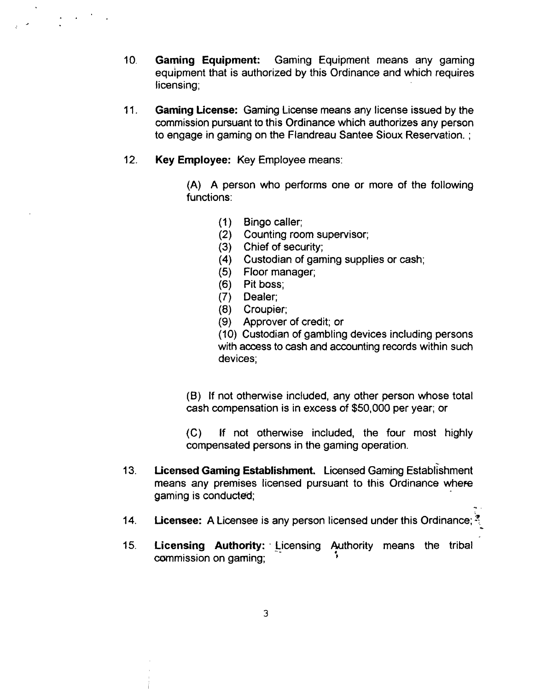- 10. **Gaming Equipment:** Gaming Equipment means any gaming equipment that is authorized by this Ordinance and which requires licensing;
- 11. **Gaming License:** Gaming License means any license issued by the commission pursuant to this Ordinance which authorizes any person to engage in gaming on the Flandreau Santee Sioux Reservation. ;
- 12. **Key Employee:** Key Employee means:

 $\mathcal{L}^{\text{max}}(\mathcal{L})$  .

(A) A person who performs one or more of the following functions:

- (1) Bingo caller;
- (2) Counting room supervisor;
- (3) Chief of security;
- **(4)** Custodian of gaming supplies or cash;
- (5) Floor manager;
- (6) Pit boss;
- (7) Dealer;
- 
- (8) Croupier; Approver of credit; or

(10) Custodian of gambling devices including persons with access to cash and accounting records within such devices;

(B) If not otherwise included, any other person whose total cash compensation is in excess of \$50,000 per year; or

(C) If not otherwise included, the four most highly compensated persons in the gaming operation.

- 13. **Licensed Gaming Establishment.** Licensed Gaming Establishment means any premises licensed pursuant to this Ordinance where gaming is conducted;
- 14. **Licensee:** A Licensee is any person licensed under this Ordinance; *7.* -
- 15. **Licensing Authority:** Licensing Authority means the tribal commission on gaming;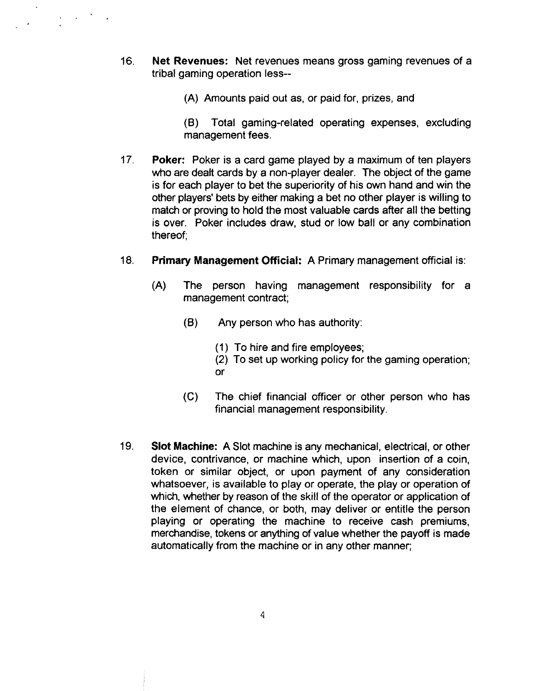16. **Net Revenues:** Net revenues means gross gaming revenues of a tribal gaming operation less--

 $\frac{1}{2} \left( \frac{1}{2} \right)^{2} \left( \frac{1}{2} \right)^{2} \left( \frac{1}{2} \right)^{2}$ 

**(A)** Amounts paid out as, or paid for, prizes, and

**(0)** Total gaming-related operating expenses, excluding management fees.

- 17. **Poker:** Poker is a card game played by a maximum of ten players who are dealt cards by a non-player dealer. The object of the game is for each player to bet the superiority of his own hand and win the other players' bets by either making a bet no other player is willing to match or proving to hold the most valuable cards after all the betting is over. Poker includes draw, stud or low ball or any combination thereof;
- **18. Primary Management Official: A** Primary management official is:
	- **(A)** The person having management responsibility for a management contract;
		- **(0)** Any person who has authority:
			- **(1)** To hire and fire employees;
			- (2) To set up working policy for the gaming operation; or
		- **(C)** The chief financial officer or other person who has financial management responsibility.
- **19. Slot Machine: A** Slot machine is any mechanical, electrical, or other device, contrivance, or machine which, upon insertion of a coin, token or similar object, or upon payment of any consideration whatsoever, is available to play or operate, the play or operation of which, whether by reason of the skill of the operator or application of the element of chance, or both, may deliver or entitle the person playing or operating the machine to receive cash premiums, merchandise, tokens or anything of value whether the payoff is made automatically from the machine or in any other manner;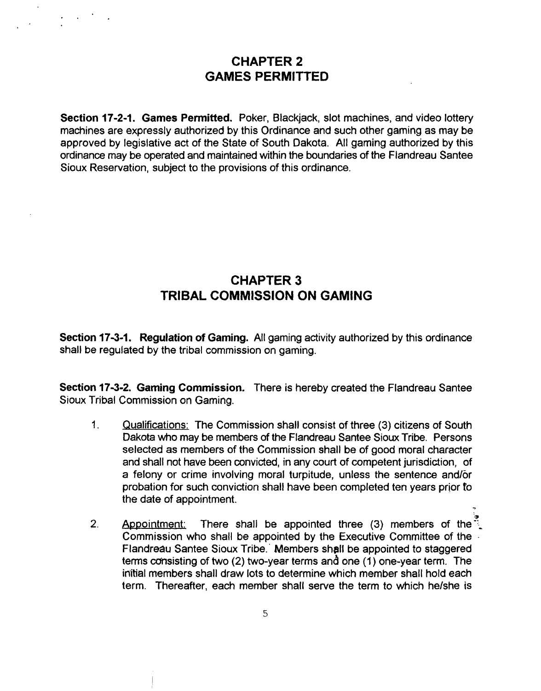#### **CHAPTER 2 GAMES PERMITTED**

**Section 17-2-1. Games Permitted.** Poker, Blackjack, slot machines, and video lottery machines are expressly authorized by this Ordinance and such other gaming as may be approved by legislative act of the State of South Dakota. All gaming authorized by this ordinance may be operated and maintained within the boundaries of the Flandreau Santee Sioux Reservation, subject to the provisions of this ordinance.

### **CHAPTER 3 TRIBAL COMMISSION ON GAMING**

**Section 173-1. Regulation of Gaming.** All gaming activity authorized by this ordinance shall be regulated by the tribal commission on gaming.

**Section 173-2. Gaming Commission.** There is hereby created the Flandreau Santee Sioux Tribal Commission on Gaming.

- 1. Qualifications: The Commission shall consist of three (3) citizens of South Dakota who may be members of the Flandreau Santee Sioux Tribe. Persons selected as members of the Commission shall be of good moral character and shall not have been convicted, in any court of competent jurisdiction, of a felony or crime involving moral turpitude, unless the sentence and/or probation for such conviction shall have been completed ten years prior to the date of appointment. **<sup>9</sup>**
- 2. Appointment: There shall be appointed three (3) members of the  $\frac{3}{2}$ Commission who shall be appointed by the Executive Committee of the - Flandreau Santee Sioux Tribe.' Members shgll be appointed to staggered terms cdnsisting of two (2) two-year terms and one (1 ) one-year term. The inltial members shall draw lots to determine which member shall hold each term. Thereafter, each member shall serve the term to which helshe is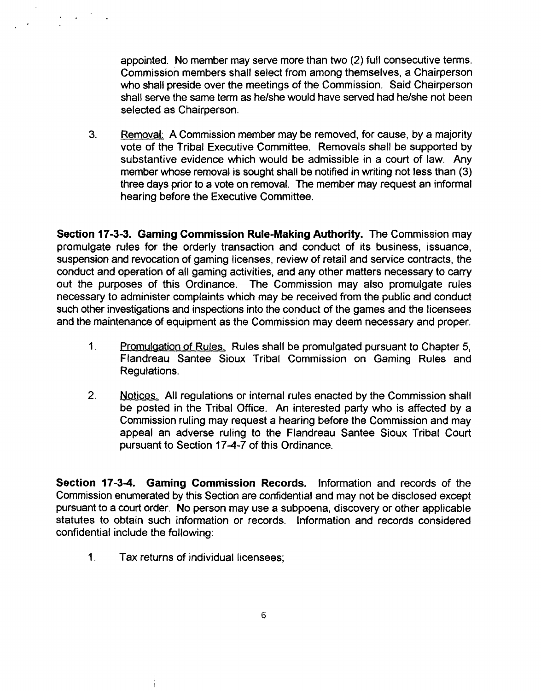appointed. No member may serve more than two (2) full consecutive terms. commission members shall select from among themselves, a Chairperson who shall preside over the meetings of the Commission. Said Chairperson shall serve the same term as he/she would have served had he/she not been selected as Chairperson.

**3.** Removal: A Commission member may be removed, for cause, by a majority vote of the Tribal Executive Committee. Removals shall be supported by substantive evidence which would be admissible in a court of law. Any member whose removal is sought shall be notified in writing not less than (3) three days prior to a vote on removal. The member may request an informal hearing before the Executive Committee.

**Section 17-3-3. Gaming Commission Rule-Making Authority.** The Commission may promulgate rules for the orderly transaction and conduct of its business, issuance, suspension and revocation of gaming licenses, review of retail and service contracts, the conduct and operation of all gaming activities, and any other matters necessary to carry out the purposes of this Ordinance. The Commission may also promulgate rules necessary to administer complaints which may be received from the public and conduct such other investigations and inspections into the conduct of the games and the licensees and the maintenance of equipment as the Commission may deem necessary and proper.

- **1.** Promulaation of Rules. Rules shall be promulgated pursuant to Chapter 5, Flandreau Santee Sioux Tribal Commission on Gaming Rules and Regulations.
- **2.** Notices. All regulations or internal rules enacted by the Commission shall be posted in the Tribal Office. An interested party who is affected by a Commission ruling may request a hearing before the Commission and may appeal an adverse ruling to the Flandreau Santee Sioux Tribal Court pursuant to Section **174-7** of this Ordinance.

**Section 17-34. Gaming Commission Records.** lnformation and records of the Commission enumerated by this Section are confidential and may not be disclosed except pursuant to a court order. No person may use a subpoena, discovery or other applicable statutes to obtain such information or records. lnformation and records considered confidential include the following:

**1.** Tax returns of individual licensees;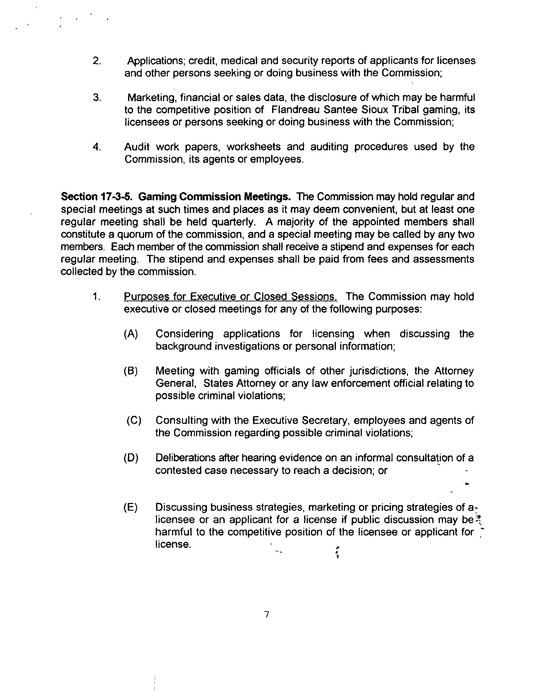- 2. Applications; credit, medical and security reports of applicants for licenses and other persons seeking or doing business with the Commission;
- **3.** Marketing, financial or sales data, the disclosure of which may be harmful to the competitive position of Flandreau Santee Sioux Tribal gaming, its licensees or persons seeking or doing business with the Commission;
- **4.** Audit work papers, worksheets and auditing procedures used by the Commission, its agents or employees.

**Section 1736. Gaming Commission Meetings.** The Commission may hold regular and special meetings at such times and places as it may deem convenient, but at least one regular meeting shall be held quarterly. **A** majority of the appointed members shall constitute a quorum of the commission, and a special meeting may be called by any two members. Each member of the commission shall receive a stipend and expenses for each regular meeting. The stipend and expenses shall be paid from fees and assessments collected by the commission.

- **1.** Purposes for Executive or Closed Sessions. The Commission may hold executive or closed meetings for any of the following purposes:
	- (A) Considering applications for licensing when discussing the background investigations or personal information;
	- **(0)** Meeting with gaming officials of other jurisdictions, the Attorney General, States Attorney or any law enforcement official relating to possible criminal violations;
	- (C) Consulting with the Executive Secretary, employees and agents of the Commission regarding possible criminal violations;
	- (D) Deliberations after hearing evidence on an informal consultation of a contested case necessary to reach a decision; or

**L.** 

(E) Discussing business strategies, marketing or pricing strategies of a: licensee or an applicant for a license if public discussion may be? harmful to the competitive position of the licensee or applicant for  $\degree$ license. **F** 

 $\overline{7}$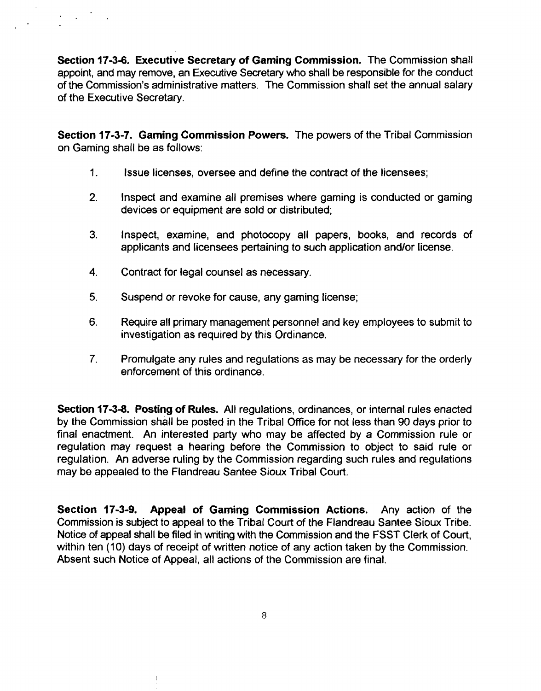**Section 173-6. Executive Secretary of Gaming Commission.** The Commission shall appoint, and may remove, an Executive Secretary who shall be responsible for the conduct of the Commission's administrative matters. The Commission shall set the annual salary of the Executive Secretary.

**Section 17-3-7. Gaming Commission Powers.** The powers of the Tribal Commission on Gaming shall be as follows:

- 1. Issue licenses, oversee and define the contract of the licensees;
- 2. Inspect and examine all premises where gaming is conducted or gaming devices or equipment are sold or distributed;
- 3. Inspect, examine, and photocopy all papers, books, and records of applicants and licensees pertaining to such application and/or license.
- **4.** Contract for legal counsel as necessary.
- **5.** Suspend or revoke for cause, any gaming license;
- **6.** Require all primary management personnel and key employees to submit to investigation as required by this Ordinance.
- 7. Promulgate any rules and regulations as may be necessary for the orderly enforcement of this ordinance.

**Section 1738. Posting of Rules.** All regulations, ordinances, or internal rules enacted by the Commission shall be posted in the Tribal Office for not less than 90 days prior to final enactment. An interested party who may be affected by a Commission rule or regulation may request a hearing before the Commission to object to said rule or regulation. An adverse ruling by the Commission regarding such rules and regulations may be appealed to the Flandreau Santee Sioux Tribal Court.

**Section 17-3-9. Appeal of Gaming Commission Actions.** Any action of the Commission is subject to appeal to the Tribal Court of the Flandreau Santee Sioux Tribe. Notice of appeal shall be filed in writing with the Commission and the FSST Clerk of Court, within ten (10) days of receipt of written notice of any action taken by the Commission. Absent such Notice of Appeal, all actions of the Commission are final.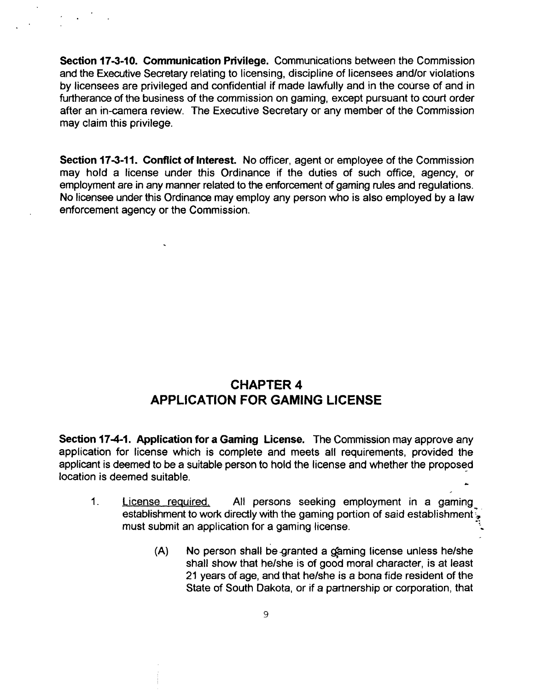**Section 17-3-10. Communication Privilege.** Communications between the Commission and the Executive Secretary relating to licensing, discipline of licensees andlor violations by licensees are privileged and confidential if made lawfully and in the course of and in furtherance of the business of the commission on gaming, except pursuant to court order after an in-camera review. The Executive Secretary or any member of the Commission may claim this privilege.

**Section 173-11. Conflict of Interest.** No officer, agent or employee of the Commission may hold a license under this Ordinance if the duties of such ofice, agency, or employment are in any manner related to the enforcement of gaming rules and regulations. No licensee under this Ordinance may employ any person who is also employed by a law enforcement agency or the Commission.

### **CHAPTER 4 APPLICATION FOR GAMING LICENSE**

**Section 174-1. Application for a Gaming License.** The Commission may approve any application for license which is complete and meets all requirements, provided the applicant is deemed to be a suitable person to hold the license and whether the proposed location is deemed suitable. **<sup>6</sup>**

- 1. License required, All persons seeking employment in a gaming establishment to work directly with the gaming portion of said establishment. must submit an application for a gaming license.
	- (A) No person shall be granted a gaming license unless he/she shall show that helshe is of good moral character, is at least 21 years of age, and that helshe is a bona fide resident of the State of South Dakota, or if a partnership or corporation, that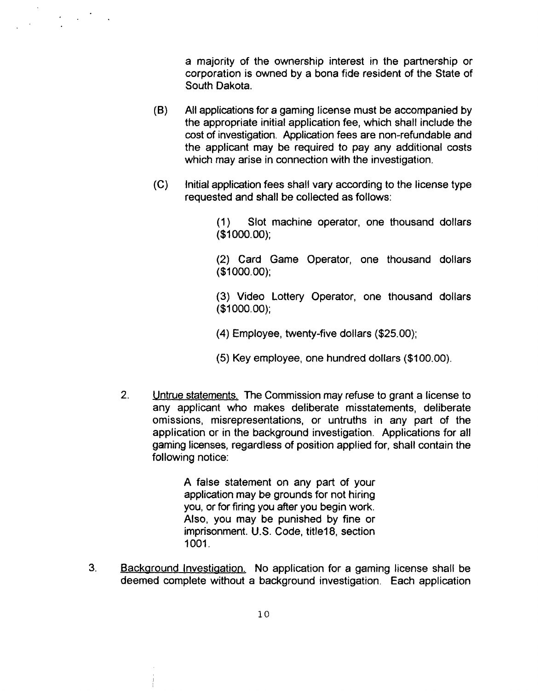a majority of the ownership interest in the partnership or corporation is owned by a bona fide resident of the State of South Dakota.

- (6) All applications for a gaming license must be accompanied by the appropriate initial application fee, which shall include the cost of investigation. Application fees are non-refundable and the applicant may be required to pay any additional costs which may arise in connection with the investigation.
- (C) Initial application fees shall vary according to the license type requested and shall be collected as follows:

(1) Slot machine operator, one thousand dollars (\$1 000.00);

(2) Card Game Operator, one thousand dollars (\$1 000.00);

(3) Video Lottery Operator, one thousand dollars (\$1 000.00);

**(4)** Employee, twenty-five dollars (\$25.00);

(5) Key employee, one hundred dollars (\$1 00.00).

2. Untrue statements. The Commission may refuse to grant a license to any applicant who makes deliberate misstatements, deliberate omissions, misrepresentations, or untruths in any part of the application or in the background investigation. Applications for all gaming licenses, regardless of position applied for, shall contain the following notice:

> A false statement on any part of your application may be grounds for not hiring you, or for firing you after you begin work. Also, you may be punished by fine or imprisonment. U.S. Code, title18, section 1001.

**3.** Backaround Investiaation. No application for a gaming license shall be deemed complete without a background investigation. Each application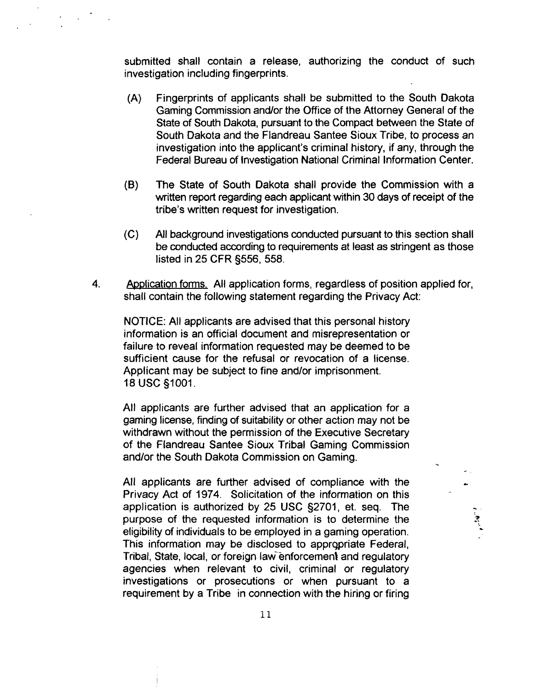submitted shall contain a release, authorizing the conduct of such investigation including fingerprints.

- (A) Fingerprints of applicants shall be submitted to the South Dakota Gaming Commission andlor the Office of the Attorney General of the State of South Dakota, pursuant to the Compact between the State of South Dakota and the Flandreau Santee Sioux Tribe, to process an investigation into the applicant's criminal history, if any, through the Federal Bureau of Investigation National Criminal Information Center.
- **(B)** The State of South Dakota shall provide the Commission with a written report regarding each applicant within 30 days of receipt of the tribe's written request for investigation.
- (C) All background investigations conducted pursuant to this section shall be conducted according to requirements at least as stringent as those listed in 25 CFR §556, 558.
- **4.** bplication forms. All application forms, regardless of position applied for, shall contain the following statement regarding the Privacy Act:

NOTICE: All applicants are advised that this personal history information is an official document and misrepresentation or failure to reveal information requested may be deemed to be sufficient cause for the refusal or revocation of a license. Applicant may be subject to fine and/or imprisonment. 18 USC §1001.

All applicants are further advised that an application for a gaming license, finding of suitability or other action may not be withdrawn without the permission of the Executive Secretary of the Flandreau Santee Sioux Tribal Gaming Commission<br>and/or the South Dakota Commission on Gaming.

All applicants are further advised of compliance with the Privacy Act of 1974. Solicitation of the information on this application is authorized by  $25$  USC  $\S2701$ , et. seq. The purpose of the requested information is to determine the eligibility of individuals to be employed in a gaming operation. This information may be disclosed to appropriate Federal, Tribal, State, local, or foreign law enforcement and regulatory agencies when relevant to civil, criminal or regulatory investigations or prosecutions or when pursuant to a requirement by a Tribe in connection with the hiring or firing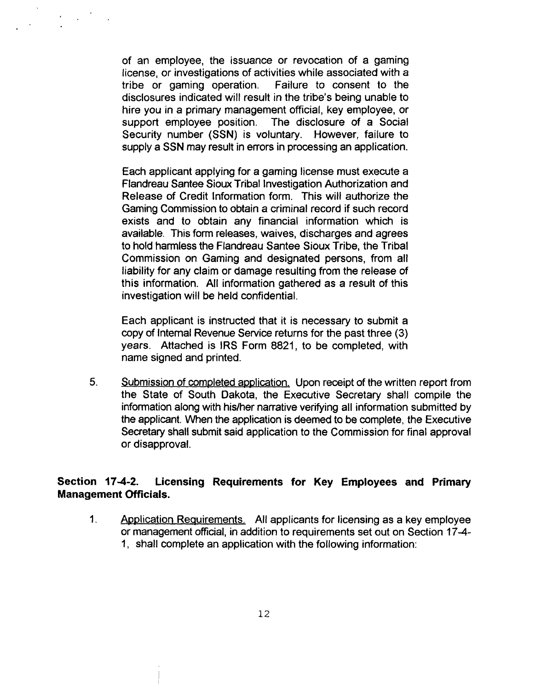of an employee, the issuance or revocation of a gaming license, or investigations of activities while associated with a tribe or gaming operation. disclosures indicated will result in the tribe's being unable to hire you in a primary management official, key employee, or support employee position. The disclosure of a Social Security number (SSN) is voluntary. However, failure to supply a SSN may result in errors in processing an application.

Each applicant applying for a gaming license must execute a Flandreau Santee Sioux Tribal Investigation Authorization and Release of Credit Information form. This will authorize the Gaming Commission to obtain a criminal record if such record exists and to obtain any financial information which is available. This form releases, waives, discharges and agrees to hold harmless the Flandreau Santee Sioux Tribe, the Tribal Commission on Gaming and designated persons, from all liability for any claim or damage resulting from the release of this information. All information gathered as a result of this investigation will be held confidential.

Each applicant is instructed that it is necessary to submit a copy of Internal Revenue Service returns for the past three (3) years. Attached is IRS Form 8821, to be completed, with name signed and printed.

5. **Submission of completed application.** Upon receipt of the written report from the State of South Dakota, the Executive Secretary shall compile the information along with his/her narrative verifying all information submitted by the applicant. When the application is deemed to be complete, the Executive Secretary shall submit said application to the Commission for final approval or disapproval.

#### **Section 17-4-2. Licensing Requirements for Key Employees and Primary Management Officials.**

1. Application Requirements. All applicants for licensing as a key employee or management official, in addition to requirements set out on Section 17-4- 1, shall complete an application with the following information: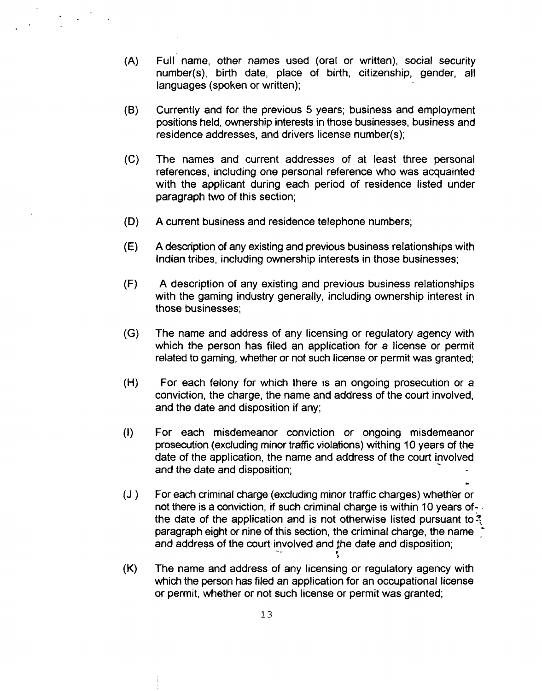- $(A)$ Full name, other names used (oral or written), social security number(s), birth date, place of birth, citizenship, gender, all languages (spoken or written);
- $(B)$ Currently and for the previous 5 years; business and employment positions held, ownership interests in those businesses, business and residence addresses, and drivers license number(s);
- $(C)$ The names and current addresses of at least three personal references, including one personal reference who was acquainted with the applicant during each period of residence listed under paragraph two of this section;
- $(D)$ **A** current business and residence telephone numbers;
- $(E)$ **A** description of any existing and previous business relationships with Indian tribes, including ownership interests in those businesses;
- $(F)$ A description of any existing and previous business relationships with the gaming industry generally, including ownership interest in those businesses;
- $(G)$ The name and address of any licensing or regulatory agency with which the person has filed an application for a license or permit related to gaming, whether or not such license or permit was granted;
- $(H)$ For each felony for which there is an ongoing prosecution or a conviction, the charge, the name and address of the court involved, and the date and disposition if any;
- $\left( \mathbf{I} \right)$ For each misdemeanor conviction or ongoing misdemeanor prosecution (excluding minor traffic violations) withing 10 years of the date of the application, the name and address of the court involved and the date and disposition; date of the application, the name and address of the court involved \*
- $(J)$ For each criminal charge (excluding minor traffic charges) whether or not there is a conviction, if such criminal charge is within 10 years ofthe date of the application and is not otherwise listed pursuant to  $\frac{3}{2}$ paragraph eight or nine of this section, the criminal charge, the name and address of the court involved and the date and disposition;

*8* 

 $(K)$ The name and address of any licensing or regulatory agency with which the person has filed an application for an occupational license or permit, whether or not such license or permit was granted;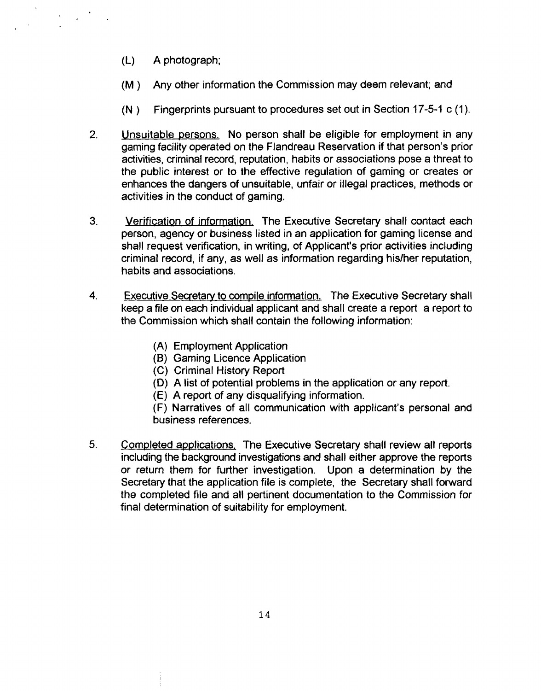- (L) A photograph;
- **(M** ) Any other information the Commission may deem relevant; and
- $(N)$  Fingerprints pursuant to procedures set out in Section 17-5-1 c (1).
- 2. Unsuitable persons. No person shall be eligible for employment in any gaming facility operated on the Flandreau Reservation if that person's prior activities, criminal record, reputation, habits or associations pose a threat to the public interest or to the effective regulation of gaming or creates or enhances the dangers of unsuitable, unfair or illegal practices, methods or activities in the conduct of gaming.
- 3. Verification of information. The Executive Secretary shall contact each person, agency or business listed in an application for gaming license and shall request verification, in writing, of Applicant's prior activities including criminal record, if any, as well as information regarding hislher reputation, habits and associations.
- 4. **Executive Secretary to compile information.** The Executive Secretary shall keep a file on each individual applicant and shall create a report a report to the Commission which shall contain the following information:
	- (A) Employment Application
	- (B) Gaming Licence Application
	- (C) Criminal History Report
	- (D) A list of potential problems in the application or any report.
	- (E) A report of any disqualifying information.

(F) Narratives of all communication with applicant's personal and business references.

**5.** Completed applications, The Executive Secretary shall review all reports including the background investigations and shall either approve the reports or return them for further investigation. Upon a determination by the Secretary that the application file is complete, the Secretary shall forward the completed file and all pertinent documentation to the Commission for final determination of suitability for employment.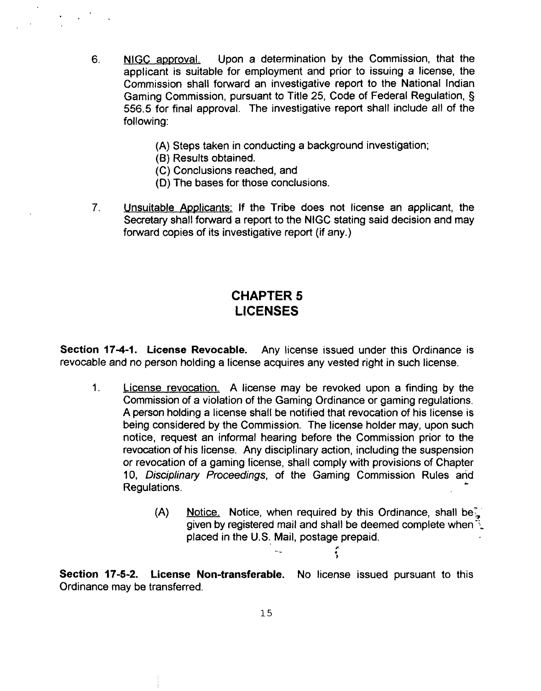- **6.** NlGC approval. Upon a determination by the Commission, that the applicant is suitable for employment and prior to issuing a license, the Commission shall forward an investigative report to the National Indian Gaming Commission, pursuant to Title 25, Code of Federal Regulation, **5**  556.5 for final approval. The investigative report shall include all of the following:
	- (A) Steps taken in conducting a background investigation;
	- **(6)** Results obtained.
	- (C) Conclusions reached, and
	- (D) The bases for those conclusions.
- **7.** Unsuitable Applicants: If the Tribe does not license an applicant, the Secretary shall forward a report to the NlGC stating said decision and may forward copies of its investigative report (if any.)

# **CHAPTER 5 LICENSES**

**Section 17-4-1. License Revocable.** Any license issued under this Ordinance is revocable and no person holding a license acquires any vested right in such license.

- 1. License revocation. A license may be revoked upon a finding by the Commission of a violation of the Gaming Ordinance or gaming regulations. A person holding a license shall be notified that revocation of his license is being considered by the Commission. The license holder may, upon such notice, request an informal hearing before the Commission prior to the revocation of his license. Any disciplinary action, including the suspension or revocation of a gaming license, shall comply with provisions of Chapter 10, Disciplinary Proceedings, of the Gaming Commission Rules and Regulations.
	- (A) Notice. Notice, when required by this Ordinance, shall be, given by registered mail and shall be deemed complete when  $\ddot{\cdot}$ . placed in the U.S. Mail, postage prepaid.

**I** 

- - **<sup>c</sup>**

**Section 17-5-2. License Non-transferable.** No license issued pursuant to this Ordinance may be transferred.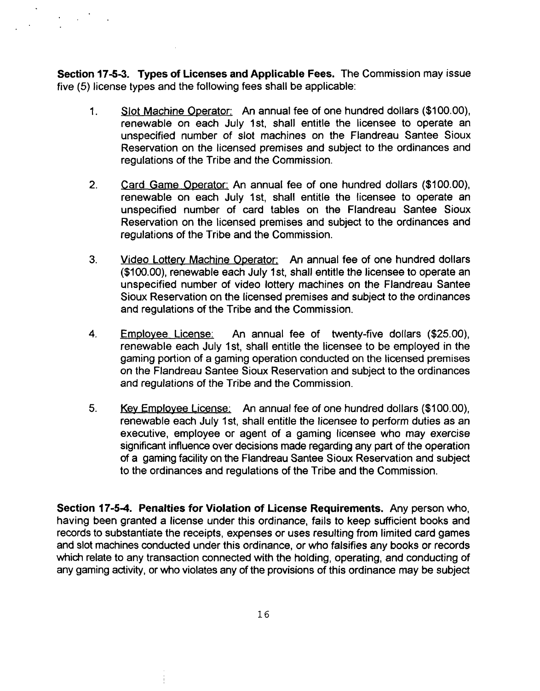**Section 17-53. Types of Licenses and Applicable Fees.** The Commission may issue five (5) license types and the following fees shall be applicable:

- 1. Slot Machine Operator: An annual fee of one hundred dollars (\$100.00), renewable on each July Ist, shall entitle the licensee to operate an unspecified number of slot machines on the Flandreau Santee Sioux Reservation on the licensed premises and subject to the ordinances and regulations of the Tribe and the Commission.
- **2.** Card Game Operator: An annual fee of one hundred dollars (\$100.00), renewable on each July 1st, shall entitle the licensee to operate an unspecified number of card tables on the Flandreau Santee Sioux Reservation on the licensed premises and subject to the ordinances and regulations of the Tribe and the Commission.
- **3.** Video Lottery Machine Operator; An annual fee of one hundred dollars (\$100.00), renewable each July 1st, shall entitle the licensee to operate an unspecified number of video lottery machines on the Flandreau Santee Sioux Reservation on the licensed premises and subject to the ordinances and regulations of the Tribe and the Commission.
- **4.** Emplovee License: An annual fee of twenty-five dollars (\$25.00), renewable each July Ist, shall entitle the licensee to be employed in the gaming portion of a gaming operation conducted on the licensed premises on the Flandreau Santee Sioux Reservation and subject to the ordinances and regulations of the Tribe and the Commission.
- 5. **Key Employee License:** An annual fee of one hundred dollars (\$100.00), renewable each July Ist, shall entitle the licensee to perform duties as an executive, employee or agent of a gaming licensee who may exercise significant influence over decisions made regarding any part of the operation of a gaming facility on the Flandreau Santee Sioux Reservation and subject to the ordinances and regulations of the Tribe and the Commission.

**Section 17-54. Penalties for Violation of License Requirements.** Any person who, having been granted a license under this ordinance, fails to keep sufficient books and records to substantiate the receipts, expenses or uses resulting from limited card games and slot machines conducted under this ordinance, or who falsifies any books or records which relate to any transaction connected with the holding, operating, and conducting of any gaming activity, or who violates any of the provisions of this ordinance may be subject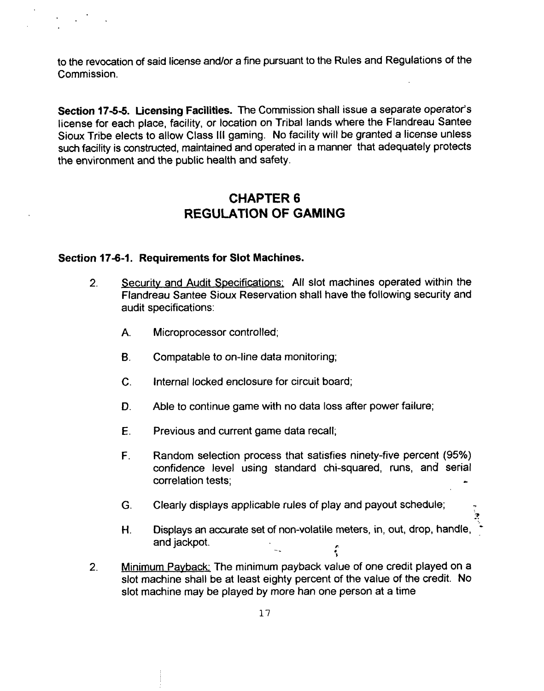to the revocation of said license and/or a fine pursuant to the Rules and Regulations of the Commission.

**Section 17-56. Licensing Facilities.** The Commission shall issue a separate operator's license for each place, facility, or location on Tribal lands where the Flandreau Santee Sioux Tribe elects to allow Class Ill gaming. No facility will be granted a license unless such facility is constructed, maintained and operated in a manner that adequately protects the environment and the public health and safety.

# **CHAPTER 6 REGULATION OF GAMING**

#### **Section 17-6-1. Requirements for Slot Machines.**

- 2. Security and Audit Specifications: All slot machines operated within the Flandreau Santee Sioux Reservation shall have the following security and audit specifications:
	- A. Microprocessor controlled;
	- **6.** Compatable to on-line data monitoring;
	- **C.** Internal locked enclosure for circuit board;
	- D. Able to continue game with no data loss after power failure;
	- **E.** Previous and current game data recall;
	- **F.** Random selection process that satisfies ninety-five percent (95%) confidence level using standard chi-squared, runs, and serial correlation tests;
	- **G.** Clearly displays applicable rules of play and payout schedule; **<sup>9</sup>**
	- -. **-3 H.** Displays an accurate set of non-volatile meters, in, out, drop, handle, ' and jackpot. **v**
- **2.** Minimum Pavback; The minimum payback value of one credit played on a slot machine shall be at least eighty percent of the value of the credit. No slot machine may be played by more han one person at a time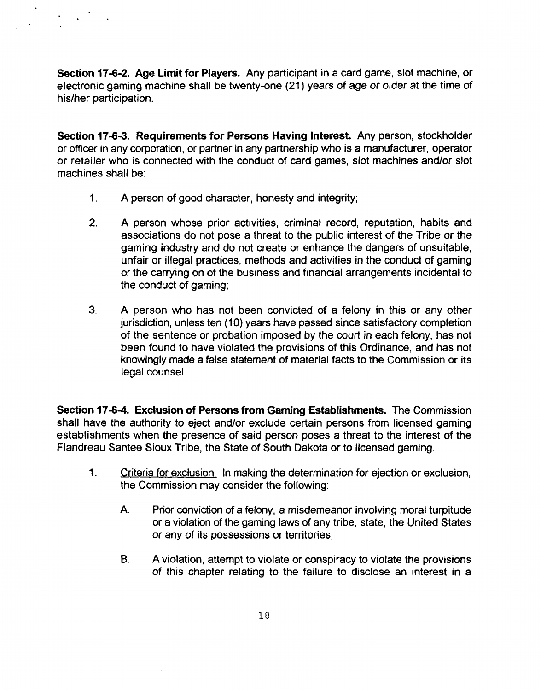**Section 17-6-2. Age Limit for Players.** Any participant in a card game, slot machine, or electronic gaming machine shall be twenty-one (21) years of age or older at the time of his/her participation.

**Section 17-64. Requirements for Persons Having Interest.** Any person, stockholder or officer in any corporation, or partner in any partnership who is a manufacturer, operator or retailer who is connected with the conduct of card games, slot machines and/or slot machines shall be:

- 1. A person of good character, honesty and integrity;
- 2. **A** person whose prior activities, criminal record, reputation, habits and associations do not pose a threat to the public interest of the Tribe or the gaming industry and do not create or enhance the dangers of unsuitable, unfair or illegal practices, methods and activities in the conduct of gaming or the carrying on of the business and financial arrangements incidental to the conduct of gaming;
- **3. A** person who has not been convicted of a felony in this or any other jurisdiction, unless ten (10) years have passed since satisfactory completion of the sentence or probation imposed by the court in each felony, has not been found to have violated the provisions of this Ordinance, and has not knowingly made **a** false statement of material facts to the Commission or its legal counsel.

**Section 17-64. Exclusion of Persons from Gaming Establishments.** The Commission shall have the authority to eject and/or exclude certain persons from licensed gaming establishments when the presence of said person poses a threat to the interest of the Flandreau Santee Sioux Tribe, the State of South Dakota or to licensed gaming.

- **1.** Criteria for exclusion, In making the determination for ejection or exclusion, the Commission may consider the following:
	- A. Prior conviction of a felony, **a** misdemeanor involving moral turpitude or a violation of the gaming laws of any tribe, state, the United States or any of its possessions or territories;
	- **B.** A violation, attempt to violate or conspiracy to violate the provisions of this chapter relating to the failure to disclose an interest in a